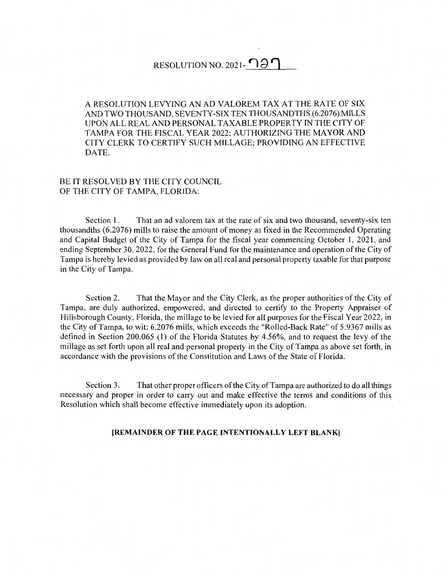## RESOLUTION NO. 2021- $\bigcap$   $\partial \bigcap$

A RESOLUTION LEVYING AN AD VALOREM TAX AT THE RATE OF SIX AND TWO THOUSAND, SEVENTY-SIX TEN THOUSANDTHS (6.2076) MILLS UPON ALL REAL AND PERSONAL TAXABLE PROPERTY IN THE CITY OF TAMPA FOR THE FISCAL YEAR 2022; AUTHORIZING THE MAYOR AND CITY CLERK TO CERTIFY SUCH MILLAGE; PROVIDING AN EFFECTIVE DATE.

## BE IT RESOLVED BY THE CITY COUNCIL OF THE CITY OF TAMPA, FLORIDA:

Section 1. That an ad valorem tax at the rate of six and two thousand, seventy-six ten thousandths (6.2076) mills to raise the amount of money as fixed in the Recommended Operating and Capital Budget of the City of Tampa for the fiscal year commencing October 1, 2021, and ending September 30, 2022, for the General Fund for the maintenance and operation of the City of Tampa is hereby levied as provided by law on all real and personal property taxable for that purpose in the City of Tampa.

Section 2. That the Mayor and the City Clerk, as the proper authorities of the City of Tampa, are duly authorized, empowered, and directed to certify to the Property Appraiser of Hillsborough County, Florida, the millage to be levied for all purposes for the Fiscal Year 2022, in the City of Tampa, to wit: 6.2076 mills, which exceeds the "Rolled-Back Rate" of 5.9367 mills as defined in Section 200.065 (I) of the Florida Statutes by 4.56%, and to request the levy of the millage as set forth upon all real and personal property in the City of Tampa as above set forth, in accordance with the provisions of the Constitution and Laws of the State of Florida.

Section 3. That other proper officers of the City of Tampa are authorized to do all things necessary and proper in order to carry out and make effective the terms and conditions of this Resolution which shall become effective immediately upon its adoption.

## **[REMAINDER OF THE PAGE INTENTIONALLY LEFT BLANK)**